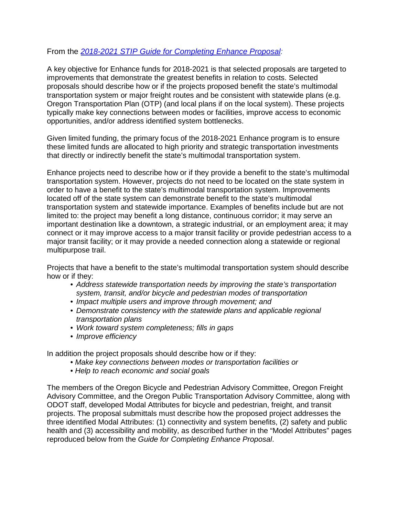## From the *[2018-2021 STIP Guide for Completing Enhance Proposal:](http://www.oregon.gov/ODOT/TD/STIP/Apply/Guide_for_Completing_Enhance_Proposal.pdf)*

A key objective for Enhance funds for 2018-2021 is that selected proposals are targeted to improvements that demonstrate the greatest benefits in relation to costs. Selected proposals should describe how or if the projects proposed benefit the state's multimodal transportation system or major freight routes and be consistent with statewide plans (e.g. Oregon Transportation Plan (OTP) (and local plans if on the local system). These projects typically make key connections between modes or facilities, improve access to economic opportunities, and/or address identified system bottlenecks.

Given limited funding, the primary focus of the 2018-2021 Enhance program is to ensure these limited funds are allocated to high priority and strategic transportation investments that directly or indirectly benefit the state's multimodal transportation system.

Enhance projects need to describe how or if they provide a benefit to the state's multimodal transportation system. However, projects do not need to be located on the state system in order to have a benefit to the state's multimodal transportation system. Improvements located off of the state system can demonstrate benefit to the state's multimodal transportation system and statewide importance. Examples of benefits include but are not limited to: the project may benefit a long distance, continuous corridor; it may serve an important destination like a downtown, a strategic industrial, or an employment area; it may connect or it may improve access to a major transit facility or provide pedestrian access to a major transit facility; or it may provide a needed connection along a statewide or regional multipurpose trail.

Projects that have a benefit to the state's multimodal transportation system should describe how or if they:

- *Address statewide transportation needs by improving the state's transportation system, transit, and/or bicycle and pedestrian modes of transportation*
- *Impact multiple users and improve through movement; and*
- *Demonstrate consistency with the statewide plans and applicable regional transportation plans*
- *Work toward system completeness; fills in gaps*
- *Improve efficiency*

In addition the project proposals should describe how or if they:

- *Make key connections between modes or transportation facilities or*
- *Help to reach economic and social goals*

The members of the Oregon Bicycle and Pedestrian Advisory Committee, Oregon Freight Advisory Committee, and the Oregon Public Transportation Advisory Committee, along with ODOT staff, developed Modal Attributes for bicycle and pedestrian, freight, and transit projects. The proposal submittals must describe how the proposed project addresses the three identified Modal Attributes: (1) connectivity and system benefits, (2) safety and public health and (3) accessibility and mobility, as described further in the "Model Attributes" pages reproduced below from the *Guide for Completing Enhance Proposal*.